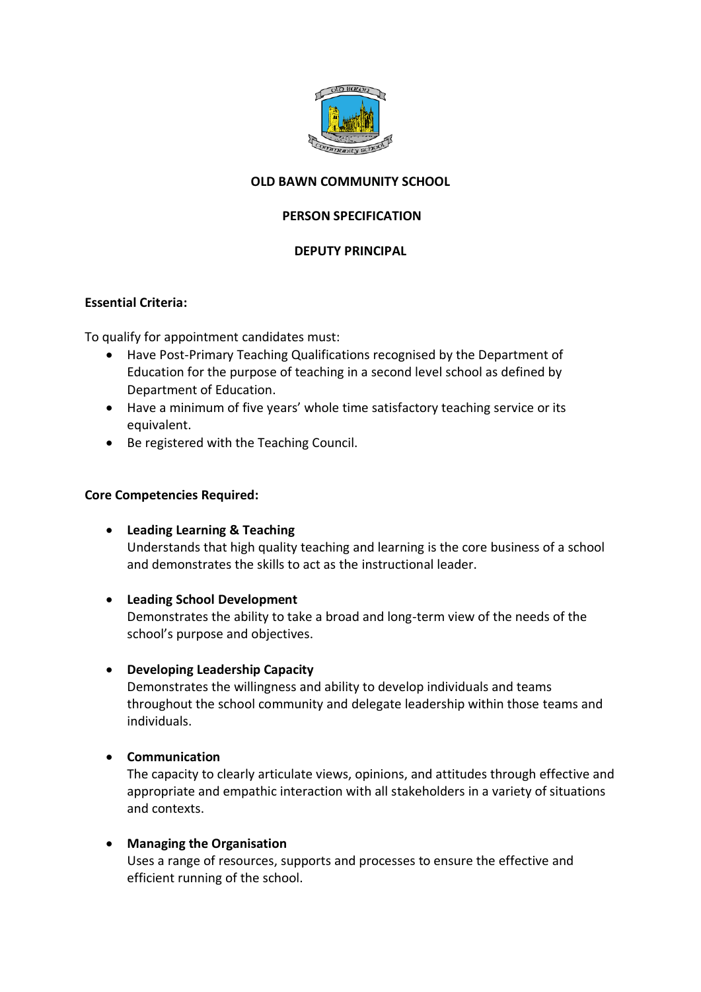

# **OLD BAWN COMMUNITY SCHOOL**

## **PERSON SPECIFICATION**

### **DEPUTY PRINCIPAL**

### **Essential Criteria:**

To qualify for appointment candidates must:

- Have Post-Primary Teaching Qualifications recognised by the Department of Education for the purpose of teaching in a second level school as defined by Department of Education.
- Have a minimum of five years' whole time satisfactory teaching service or its equivalent.
- Be registered with the Teaching Council.

### **Core Competencies Required:**

- **Leading Learning & Teaching** Understands that high quality teaching and learning is the core business of a school and demonstrates the skills to act as the instructional leader.
- **Leading School Development**

Demonstrates the ability to take a broad and long-term view of the needs of the school's purpose and objectives.

• **Developing Leadership Capacity**

Demonstrates the willingness and ability to develop individuals and teams throughout the school community and delegate leadership within those teams and individuals.

• **Communication**

The capacity to clearly articulate views, opinions, and attitudes through effective and appropriate and empathic interaction with all stakeholders in a variety of situations and contexts.

## • **Managing the Organisation**

Uses a range of resources, supports and processes to ensure the effective and efficient running of the school.